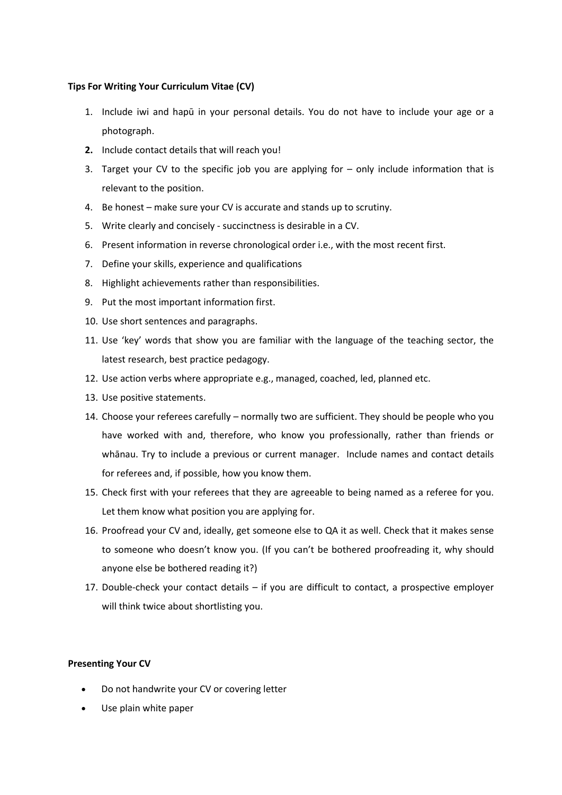## **Tips For Writing Your Curriculum Vitae (CV)**

- 1. Include iwi and hapū in your personal details. You do not have to include your age or a photograph.
- **2.** Include contact details that will reach you!
- 3. Target your CV to the specific job you are applying for only include information that is relevant to the position.
- 4. Be honest make sure your CV is accurate and stands up to scrutiny.
- 5. Write clearly and concisely succinctness is desirable in a CV.
- 6. Present information in reverse chronological order i.e., with the most recent first.
- 7. Define your skills, experience and qualifications
- 8. Highlight achievements rather than responsibilities.
- 9. Put the most important information first.
- 10. Use short sentences and paragraphs.
- 11. Use 'key' words that show you are familiar with the language of the teaching sector, the latest research, best practice pedagogy.
- 12. Use action verbs where appropriate e.g., managed, coached, led, planned etc.
- 13. Use positive statements.
- 14. Choose your referees carefully normally two are sufficient. They should be people who you have worked with and, therefore, who know you professionally, rather than friends or whānau. Try to include a previous or current manager. Include names and contact details for referees and, if possible, how you know them.
- 15. Check first with your referees that they are agreeable to being named as a referee for you. Let them know what position you are applying for.
- 16. Proofread your CV and, ideally, get someone else to QA it as well. Check that it makes sense to someone who doesn't know you. (If you can't be bothered proofreading it, why should anyone else be bothered reading it?)
- 17. Double-check your contact details if you are difficult to contact, a prospective employer will think twice about shortlisting you.

## **Presenting Your CV**

- Do not handwrite your CV or covering letter
- Use plain white paper